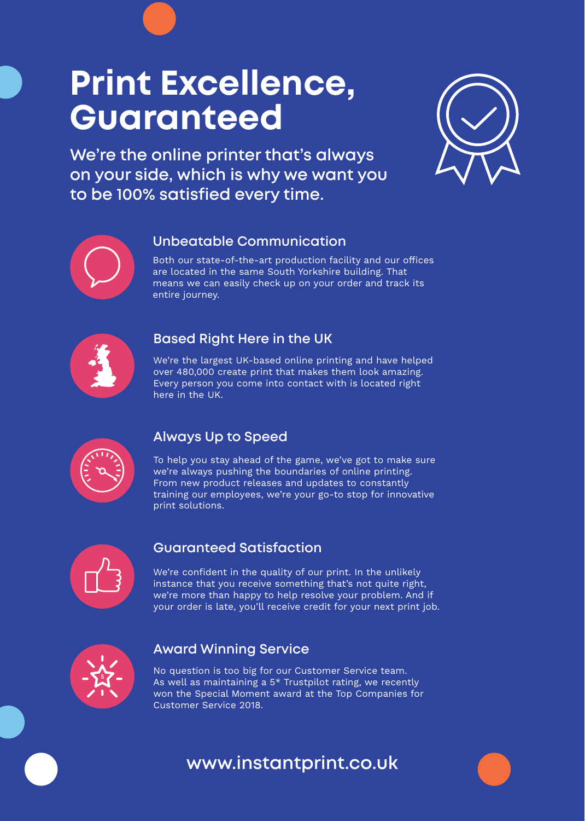# **Print Excellence, Guaranteed**

**We're the online printer that's always on your side, which is why we want you to be 100% satisfied every time.** 





### **Unbeatable Communication**

Both our state-of-the-art production facility and our offices are located in the same South Yorkshire building. That means we can easily check up on your order and track its entire journey.



### **Based Right Here in the UK**

We're the largest UK-based online printing and have helped over 480,000 create print that makes them look amazing. Every person you come into contact with is located right here in the UK.



### **Always Up to Speed**

To help you stay ahead of the game, we've got to make sure we're always pushing the boundaries of online printing. From new product releases and updates to constantly training our employees, we're your go-to stop for innovative print solutions.



### **Guaranteed Satisfaction**

We're confident in the quality of our print. In the unlikely instance that you receive something that's not quite right, we're more than happy to help resolve your problem. And if your order is late, you'll receive credit for your next print job.



### **Award Winning Service**

No question is too big for our Customer Service team. As well as maintaining a  $5*$  Trustpilot rating, we recently won the Special Moment award at the Top Companies for Customer Service 2018.

### **www.instantprint.co.uk**